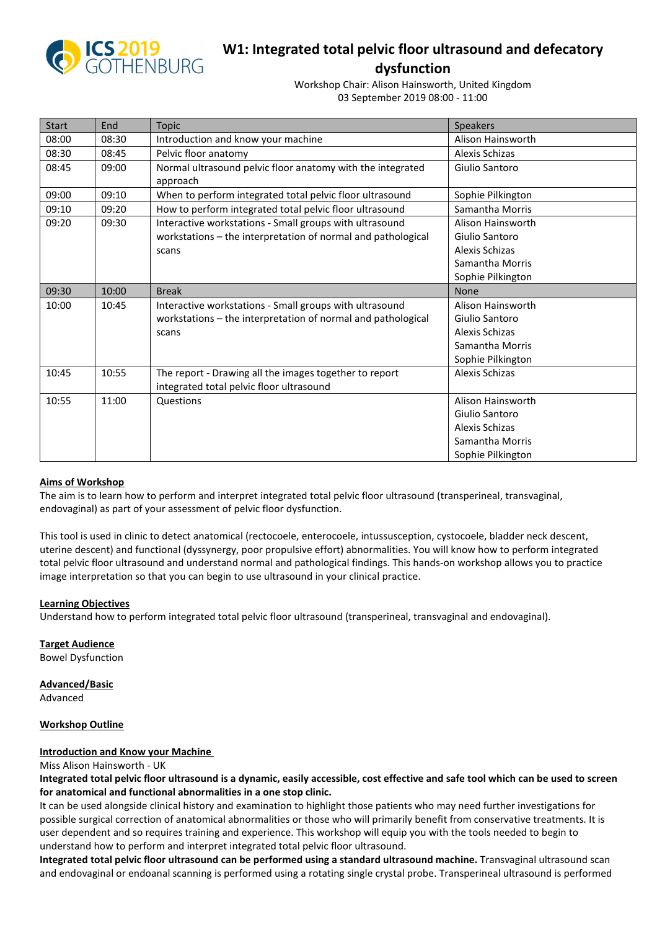

# **W1: Integrated total pelvic floor ultrasound and defecatory**

**dysfunction**  Workshop Chair: Alison Hainsworth, United Kingdom

03 September 2019 08:00 - 11:00

| <b>Start</b> | End   | <b>Topic</b>                                                                                                                     | Speakers                                                                                      |
|--------------|-------|----------------------------------------------------------------------------------------------------------------------------------|-----------------------------------------------------------------------------------------------|
| 08:00        | 08:30 | Introduction and know your machine                                                                                               | Alison Hainsworth                                                                             |
| 08:30        | 08:45 | Pelvic floor anatomy                                                                                                             | Alexis Schizas                                                                                |
| 08:45        | 09:00 | Normal ultrasound pelvic floor anatomy with the integrated<br>approach                                                           | Giulio Santoro                                                                                |
| 09:00        | 09:10 | When to perform integrated total pelvic floor ultrasound                                                                         | Sophie Pilkington                                                                             |
| 09:10        | 09:20 | How to perform integrated total pelvic floor ultrasound                                                                          | Samantha Morris                                                                               |
| 09:20        | 09:30 | Interactive workstations - Small groups with ultrasound<br>workstations - the interpretation of normal and pathological<br>scans | Alison Hainsworth<br>Giulio Santoro<br>Alexis Schizas<br>Samantha Morris<br>Sophie Pilkington |
| 09:30        | 10:00 | <b>Break</b>                                                                                                                     | None                                                                                          |
| 10:00        | 10:45 | Interactive workstations - Small groups with ultrasound<br>workstations - the interpretation of normal and pathological<br>scans | Alison Hainsworth<br>Giulio Santoro<br>Alexis Schizas<br>Samantha Morris<br>Sophie Pilkington |
| 10:45        | 10:55 | The report - Drawing all the images together to report<br>integrated total pelvic floor ultrasound                               | Alexis Schizas                                                                                |
| 10:55        | 11:00 | Questions                                                                                                                        | Alison Hainsworth<br>Giulio Santoro<br>Alexis Schizas<br>Samantha Morris<br>Sophie Pilkington |

## **Aims of Workshop**

The aim is to learn how to perform and interpret integrated total pelvic floor ultrasound (transperineal, transvaginal, endovaginal) as part of your assessment of pelvic floor dysfunction.

This tool is used in clinic to detect anatomical (rectocoele, enterocoele, intussusception, cystocoele, bladder neck descent, uterine descent) and functional (dyssynergy, poor propulsive effort) abnormalities. You will know how to perform integrated total pelvic floor ultrasound and understand normal and pathological findings. This hands-on workshop allows you to practice image interpretation so that you can begin to use ultrasound in your clinical practice.

## **Learning Objectives**

Understand how to perform integrated total pelvic floor ultrasound (transperineal, transvaginal and endovaginal).

**Target Audience** Bowel Dysfunction

**Advanced/Basic**

Advanced

## **Workshop Outline**

## **Introduction and Know your Machine**

Miss Alison Hainsworth - UK

**Integrated total pelvic floor ultrasound is a dynamic, easily accessible, cost effective and safe tool which can be used to screen for anatomical and functional abnormalities in a one stop clinic.** 

It can be used alongside clinical history and examination to highlight those patients who may need further investigations for possible surgical correction of anatomical abnormalities or those who will primarily benefit from conservative treatments. It is user dependent and so requires training and experience. This workshop will equip you with the tools needed to begin to understand how to perform and interpret integrated total pelvic floor ultrasound.

**Integrated total pelvic floor ultrasound can be performed using a standard ultrasound machine.** Transvaginal ultrasound scan and endovaginal or endoanal scanning is performed using a rotating single crystal probe. Transperineal ultrasound is performed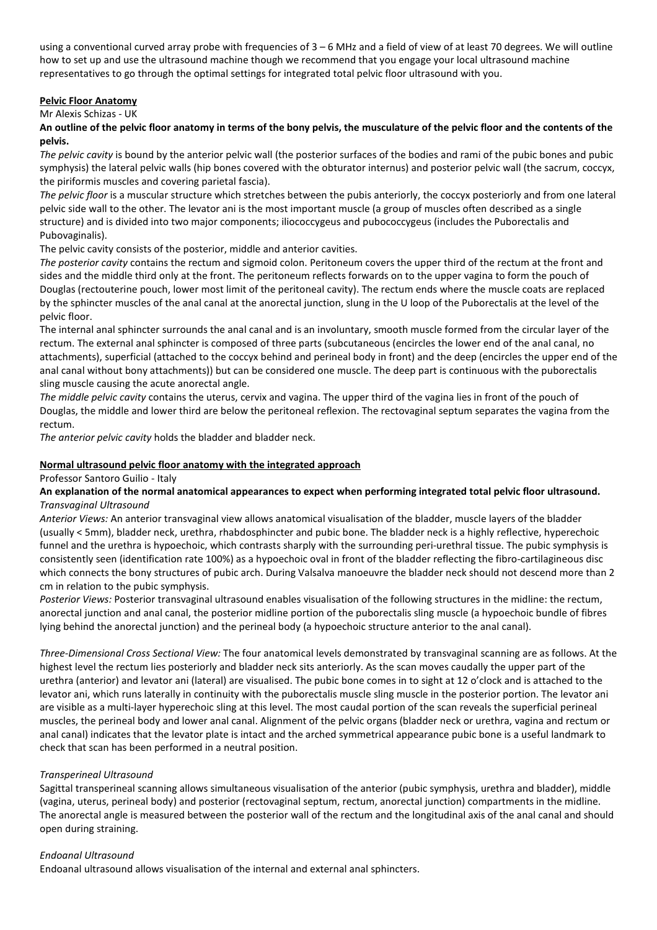using a conventional curved array probe with frequencies of  $3 - 6$  MHz and a field of view of at least 70 degrees. We will outline how to set up and use the ultrasound machine though we recommend that you engage your local ultrasound machine representatives to go through the optimal settings for integrated total pelvic floor ultrasound with you.

# **Pelvic Floor Anatomy**

#### Mr Alexis Schizas - UK

**An outline of the pelvic floor anatomy in terms of the bony pelvis, the musculature of the pelvic floor and the contents of the pelvis.** 

*The pelvic cavity* is bound by the anterior pelvic wall (the posterior surfaces of the bodies and rami of the pubic bones and pubic symphysis) the lateral pelvic walls (hip bones covered with the obturator internus) and posterior pelvic wall (the sacrum, coccyx, the piriformis muscles and covering parietal fascia).

*The pelvic floor* is a muscular structure which stretches between the pubis anteriorly, the coccyx posteriorly and from one lateral pelvic side wall to the other. The levator ani is the most important muscle (a group of muscles often described as a single structure) and is divided into two major components; iliococcygeus and pubococcygeus (includes the Puborectalis and Pubovaginalis).

The pelvic cavity consists of the posterior, middle and anterior cavities.

*The posterior cavity* contains the rectum and sigmoid colon. Peritoneum covers the upper third of the rectum at the front and sides and the middle third only at the front. The peritoneum reflects forwards on to the upper vagina to form the pouch of Douglas (rectouterine pouch, lower most limit of the peritoneal cavity). The rectum ends where the muscle coats are replaced by the sphincter muscles of the anal canal at the anorectal junction, slung in the U loop of the Puborectalis at the level of the pelvic floor.

The internal anal sphincter surrounds the anal canal and is an involuntary, smooth muscle formed from the circular layer of the rectum. The external anal sphincter is composed of three parts (subcutaneous (encircles the lower end of the anal canal, no attachments), superficial (attached to the coccyx behind and perineal body in front) and the deep (encircles the upper end of the anal canal without bony attachments)) but can be considered one muscle. The deep part is continuous with the puborectalis sling muscle causing the acute anorectal angle.

*The middle pelvic cavity* contains the uterus, cervix and vagina. The upper third of the vagina lies in front of the pouch of Douglas, the middle and lower third are below the peritoneal reflexion. The rectovaginal septum separates the vagina from the rectum.

*The anterior pelvic cavity* holds the bladder and bladder neck.

## **Normal ultrasound pelvic floor anatomy with the integrated approach**

## Professor Santoro Guilio - Italy

# **An explanation of the normal anatomical appearances to expect when performing integrated total pelvic floor ultrasound.**  *Transvaginal Ultrasound*

*Anterior Views:* An anterior transvaginal view allows anatomical visualisation of the bladder, muscle layers of the bladder (usually < 5mm), bladder neck, urethra, rhabdosphincter and pubic bone. The bladder neck is a highly reflective, hyperechoic funnel and the urethra is hypoechoic, which contrasts sharply with the surrounding peri-urethral tissue. The pubic symphysis is consistently seen (identification rate 100%) as a hypoechoic oval in front of the bladder reflecting the fibro-cartilagineous disc which connects the bony structures of pubic arch. During Valsalva manoeuvre the bladder neck should not descend more than 2 cm in relation to the pubic symphysis.

*Posterior Views:* Posterior transvaginal ultrasound enables visualisation of the following structures in the midline: the rectum, anorectal junction and anal canal, the posterior midline portion of the puborectalis sling muscle (a hypoechoic bundle of fibres lying behind the anorectal junction) and the perineal body (a hypoechoic structure anterior to the anal canal).

*Three-Dimensional Cross Sectional View:* The four anatomical levels demonstrated by transvaginal scanning are as follows. At the highest level the rectum lies posteriorly and bladder neck sits anteriorly. As the scan moves caudally the upper part of the urethra (anterior) and levator ani (lateral) are visualised. The pubic bone comes in to sight at 12 o'clock and is attached to the levator ani, which runs laterally in continuity with the puborectalis muscle sling muscle in the posterior portion. The levator ani are visible as a multi-layer hyperechoic sling at this level. The most caudal portion of the scan reveals the superficial perineal muscles, the perineal body and lower anal canal. Alignment of the pelvic organs (bladder neck or urethra, vagina and rectum or anal canal) indicates that the levator plate is intact and the arched symmetrical appearance pubic bone is a useful landmark to check that scan has been performed in a neutral position.

## *Transperineal Ultrasound*

Sagittal transperineal scanning allows simultaneous visualisation of the anterior (pubic symphysis, urethra and bladder), middle (vagina, uterus, perineal body) and posterior (rectovaginal septum, rectum, anorectal junction) compartments in the midline. The anorectal angle is measured between the posterior wall of the rectum and the longitudinal axis of the anal canal and should open during straining.

## *Endoanal Ultrasound*

Endoanal ultrasound allows visualisation of the internal and external anal sphincters.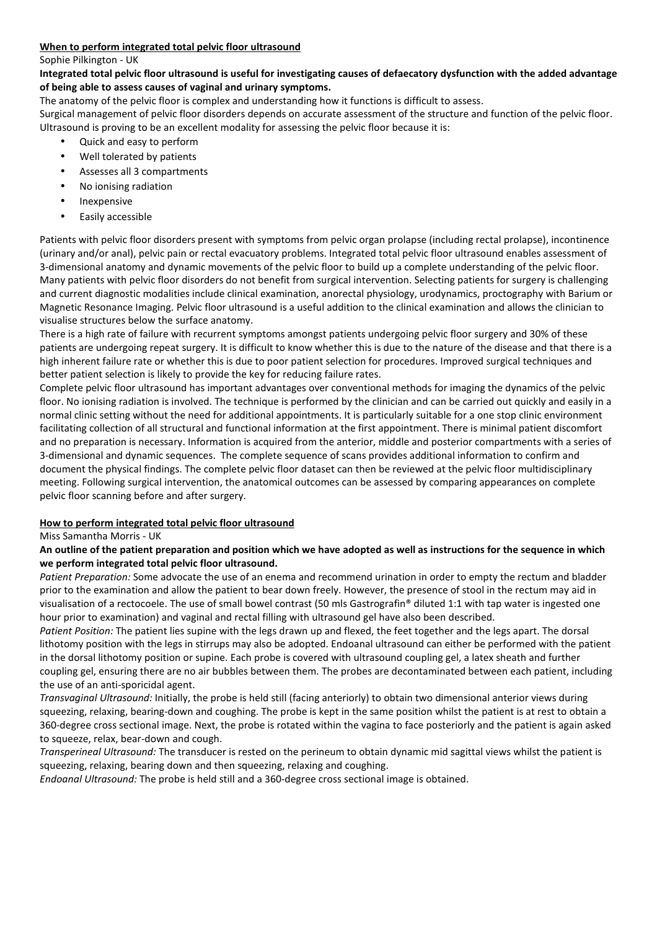# **When to perform integrated total pelvic floor ultrasound**

#### Sophie Pilkington - UK

# **Integrated total pelvic floor ultrasound is useful for investigating causes of defaecatory dysfunction with the added advantage of being able to assess causes of vaginal and urinary symptoms.**

The anatomy of the pelvic floor is complex and understanding how it functions is difficult to assess.

Surgical management of pelvic floor disorders depends on accurate assessment of the structure and function of the pelvic floor. Ultrasound is proving to be an excellent modality for assessing the pelvic floor because it is:

- Quick and easy to perform
- Well tolerated by patients
- Assesses all 3 compartments
- No ionising radiation
- **Inexpensive**
- Easily accessible

Patients with pelvic floor disorders present with symptoms from pelvic organ prolapse (including rectal prolapse), incontinence (urinary and/or anal), pelvic pain or rectal evacuatory problems. Integrated total pelvic floor ultrasound enables assessment of 3-dimensional anatomy and dynamic movements of the pelvic floor to build up a complete understanding of the pelvic floor. Many patients with pelvic floor disorders do not benefit from surgical intervention. Selecting patients for surgery is challenging and current diagnostic modalities include clinical examination, anorectal physiology, urodynamics, proctography with Barium or Magnetic Resonance Imaging. Pelvic floor ultrasound is a useful addition to the clinical examination and allows the clinician to visualise structures below the surface anatomy.

There is a high rate of failure with recurrent symptoms amongst patients undergoing pelvic floor surgery and 30% of these patients are undergoing repeat surgery. It is difficult to know whether this is due to the nature of the disease and that there is a high inherent failure rate or whether this is due to poor patient selection for procedures. Improved surgical techniques and better patient selection is likely to provide the key for reducing failure rates.

Complete pelvic floor ultrasound has important advantages over conventional methods for imaging the dynamics of the pelvic floor. No ionising radiation is involved. The technique is performed by the clinician and can be carried out quickly and easily in a normal clinic setting without the need for additional appointments. It is particularly suitable for a one stop clinic environment facilitating collection of all structural and functional information at the first appointment. There is minimal patient discomfort and no preparation is necessary. Information is acquired from the anterior, middle and posterior compartments with a series of 3-dimensional and dynamic sequences. The complete sequence of scans provides additional information to confirm and document the physical findings. The complete pelvic floor dataset can then be reviewed at the pelvic floor multidisciplinary meeting. Following surgical intervention, the anatomical outcomes can be assessed by comparing appearances on complete pelvic floor scanning before and after surgery.

# **How to perform integrated total pelvic floor ultrasound**

## Miss Samantha Morris - UK

# **An outline of the patient preparation and position which we have adopted as well as instructions for the sequence in which we perform integrated total pelvic floor ultrasound.**

*Patient Preparation:* Some advocate the use of an enema and recommend urination in order to empty the rectum and bladder prior to the examination and allow the patient to bear down freely. However, the presence of stool in the rectum may aid in visualisation of a rectocoele. The use of small bowel contrast (50 mls Gastrografin® diluted 1:1 with tap water is ingested one hour prior to examination) and vaginal and rectal filling with ultrasound gel have also been described.

*Patient Position:* The patient lies supine with the legs drawn up and flexed, the feet together and the legs apart. The dorsal lithotomy position with the legs in stirrups may also be adopted. Endoanal ultrasound can either be performed with the patient in the dorsal lithotomy position or supine. Each probe is covered with ultrasound coupling gel, a latex sheath and further coupling gel, ensuring there are no air bubbles between them. The probes are decontaminated between each patient, including the use of an anti-sporicidal agent.

*Transvaginal Ultrasound:* Initially, the probe is held still (facing anteriorly) to obtain two dimensional anterior views during squeezing, relaxing, bearing-down and coughing. The probe is kept in the same position whilst the patient is at rest to obtain a 360-degree cross sectional image. Next, the probe is rotated within the vagina to face posteriorly and the patient is again asked to squeeze, relax, bear-down and cough.

*Transperineal Ultrasound:* The transducer is rested on the perineum to obtain dynamic mid sagittal views whilst the patient is squeezing, relaxing, bearing down and then squeezing, relaxing and coughing.

*Endoanal Ultrasound:* The probe is held still and a 360-degree cross sectional image is obtained.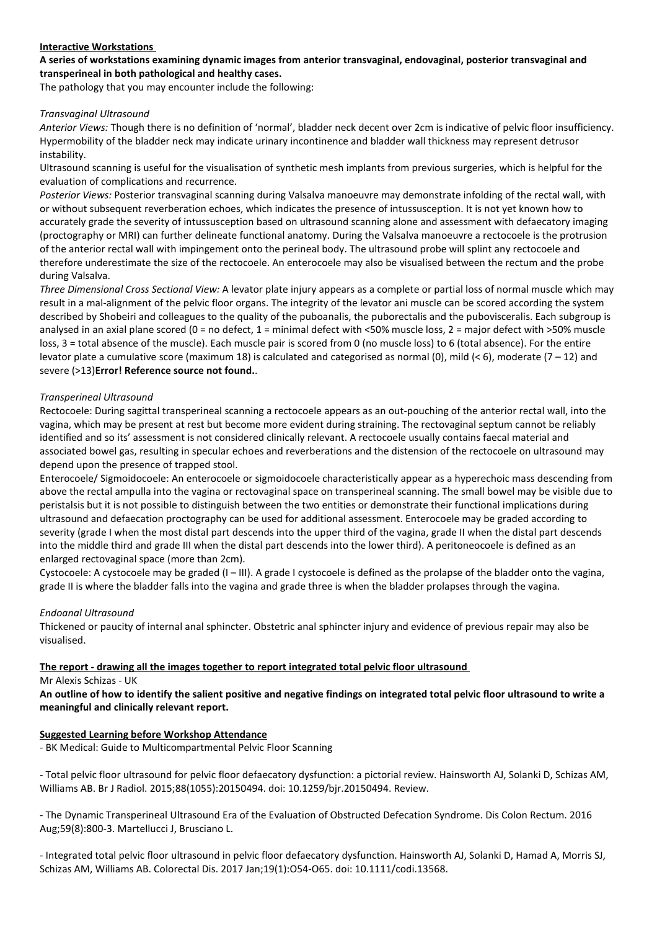## **Interactive Workstations**

# **A series of workstations examining dynamic images from anterior transvaginal, endovaginal, posterior transvaginal and transperineal in both pathological and healthy cases.**

The pathology that you may encounter include the following:

## *Transvaginal Ultrasound*

*Anterior Views:* Though there is no definition of 'normal', bladder neck decent over 2cm is indicative of pelvic floor insufficiency. Hypermobility of the bladder neck may indicate urinary incontinence and bladder wall thickness may represent detrusor instability.

Ultrasound scanning is useful for the visualisation of synthetic mesh implants from previous surgeries, which is helpful for the evaluation of complications and recurrence.

*Posterior Views:* Posterior transvaginal scanning during Valsalva manoeuvre may demonstrate infolding of the rectal wall, with or without subsequent reverberation echoes, which indicates the presence of intussusception. It is not yet known how to accurately grade the severity of intussusception based on ultrasound scanning alone and assessment with defaecatory imaging (proctography or MRI) can further delineate functional anatomy. During the Valsalva manoeuvre a rectocoele is the protrusion of the anterior rectal wall with impingement onto the perineal body. The ultrasound probe will splint any rectocoele and therefore underestimate the size of the rectocoele. An enterocoele may also be visualised between the rectum and the probe during Valsalva.

*Three Dimensional Cross Sectional View:* A levator plate injury appears as a complete or partial loss of normal muscle which may result in a mal-alignment of the pelvic floor organs. The integrity of the levator ani muscle can be scored according the system described by Shobeiri and colleagues to the quality of the puboanalis, the puborectalis and the pubovisceralis. Each subgroup is analysed in an axial plane scored (0 = no defect, 1 = minimal defect with <50% muscle loss, 2 = major defect with >50% muscle loss, 3 = total absence of the muscle). Each muscle pair is scored from 0 (no muscle loss) to 6 (total absence). For the entire levator plate a cumulative score (maximum 18) is calculated and categorised as normal (0), mild  $(< 6$ ), moderate (7 – 12) and severe (>13)**Error! Reference source not found.**.

# *Transperineal Ultrasound*

Rectocoele: During sagittal transperineal scanning a rectocoele appears as an out-pouching of the anterior rectal wall, into the vagina, which may be present at rest but become more evident during straining. The rectovaginal septum cannot be reliably identified and so its' assessment is not considered clinically relevant. A rectocoele usually contains faecal material and associated bowel gas, resulting in specular echoes and reverberations and the distension of the rectocoele on ultrasound may depend upon the presence of trapped stool.

Enterocoele/ Sigmoidocoele: An enterocoele or sigmoidocoele characteristically appear as a hyperechoic mass descending from above the rectal ampulla into the vagina or rectovaginal space on transperineal scanning. The small bowel may be visible due to peristalsis but it is not possible to distinguish between the two entities or demonstrate their functional implications during ultrasound and defaecation proctography can be used for additional assessment. Enterocoele may be graded according to severity (grade I when the most distal part descends into the upper third of the vagina, grade II when the distal part descends into the middle third and grade III when the distal part descends into the lower third). A peritoneocoele is defined as an enlarged rectovaginal space (more than 2cm).

Cystocoele: A cystocoele may be graded (I – III). A grade I cystocoele is defined as the prolapse of the bladder onto the vagina, grade II is where the bladder falls into the vagina and grade three is when the bladder prolapses through the vagina.

# *Endoanal Ultrasound*

Thickened or paucity of internal anal sphincter. Obstetric anal sphincter injury and evidence of previous repair may also be visualised.

# **The report - drawing all the images together to report integrated total pelvic floor ultrasound**

Mr Alexis Schizas - UK

**An outline of how to identify the salient positive and negative findings on integrated total pelvic floor ultrasound to write a meaningful and clinically relevant report.** 

## **Suggested Learning before Workshop Attendance**

- BK Medical: Guide to Multicompartmental Pelvic Floor Scanning

- Total pelvic floor ultrasound for pelvic floor defaecatory dysfunction: a pictorial review. Hainsworth AJ, Solanki D, Schizas AM, Williams AB. Br J Radiol. 2015;88(1055):20150494. doi: 10.1259/bjr.20150494. Review.

- The Dynamic Transperineal Ultrasound Era of the Evaluation of Obstructed Defecation Syndrome. Dis Colon Rectum. 2016 Aug;59(8):800-3. Martellucci J, Brusciano L.

- Integrated total pelvic floor ultrasound in pelvic floor defaecatory dysfunction. Hainsworth AJ, Solanki D, Hamad A, Morris SJ, Schizas AM, Williams AB. Colorectal Dis. 2017 Jan;19(1):O54-O65. doi: 10.1111/codi.13568.